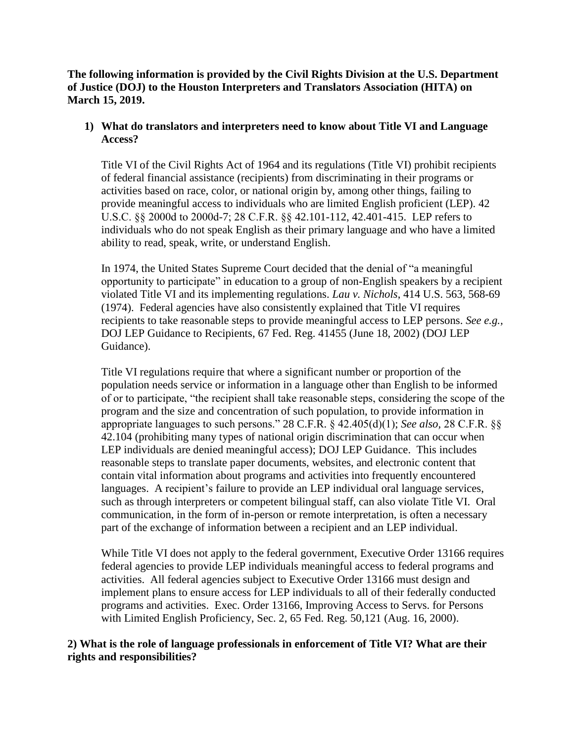**The following information is provided by the Civil Rights Division at the U.S. Department of Justice (DOJ) to the Houston Interpreters and Translators Association (HITA) on March 15, 2019.** 

## **1) What do translators and interpreters need to know about Title VI and Language Access?**

Title VI of the Civil Rights Act of 1964 and its regulations (Title VI) prohibit recipients of federal financial assistance (recipients) from discriminating in their programs or activities based on race, color, or national origin by, among other things, failing to provide meaningful access to individuals who are limited English proficient (LEP). 42 U.S.C. §§ 2000d to 2000d-7; 28 C.F.R. §§ 42.101-112, 42.401-415. LEP refers to individuals who do not speak English as their primary language and who have a limited ability to read, speak, write, or understand English.

In 1974, the United States Supreme Court decided that the denial of "a meaningful opportunity to participate" in education to a group of non-English speakers by a recipient violated Title VI and its implementing regulations. *Lau v. Nichols*, 414 U.S. 563, 568-69 (1974). Federal agencies have also consistently explained that Title VI requires recipients to take reasonable steps to provide meaningful access to LEP persons. *See e.g.,*  DOJ LEP Guidance to Recipients, 67 Fed. Reg. 41455 (June 18, 2002) (DOJ LEP Guidance).

Title VI regulations require that where a significant number or proportion of the population needs service or information in a language other than English to be informed of or to participate, "the recipient shall take reasonable steps, considering the scope of the program and the size and concentration of such population, to provide information in appropriate languages to such persons." 28 C.F.R. [§ 42.405\(d\)\(1\);](https://www.govinfo.gov/content/pkg/CFR-2010-title28-vol1/xml/CFR-2010-title28-vol1-sec42-405.xml) *See also,* 28 C.F.R. §§ 42.104 (prohibiting many types of national origin discrimination that can occur when LEP individuals are denied meaningful access); DOJ LEP Guidance. This includes reasonable steps to translate paper documents, websites, and electronic content that contain vital information about programs and activities into frequently encountered languages. A recipient's failure to provide an LEP individual oral language services, such as through interpreters or competent bilingual staff, can also violate Title VI. Oral communication, in the form of in-person or remote interpretation, is often a necessary part of the exchange of information between a recipient and an LEP individual.

While Title VI does not apply to the federal government, Executive Order 13166 requires federal agencies to provide LEP individuals meaningful access to federal programs and activities. All federal agencies subject to Executive Order 13166 must design and implement plans to ensure access for LEP individuals to all of their federally conducted programs and activities. Exec. Order 13166, Improving Access to Servs. for Persons with Limited English Proficiency, Sec. 2, 65 Fed. Reg. 50,121 (Aug. 16, 2000).

## **2) What is the role of language professionals in enforcement of Title VI? What are their rights and responsibilities?**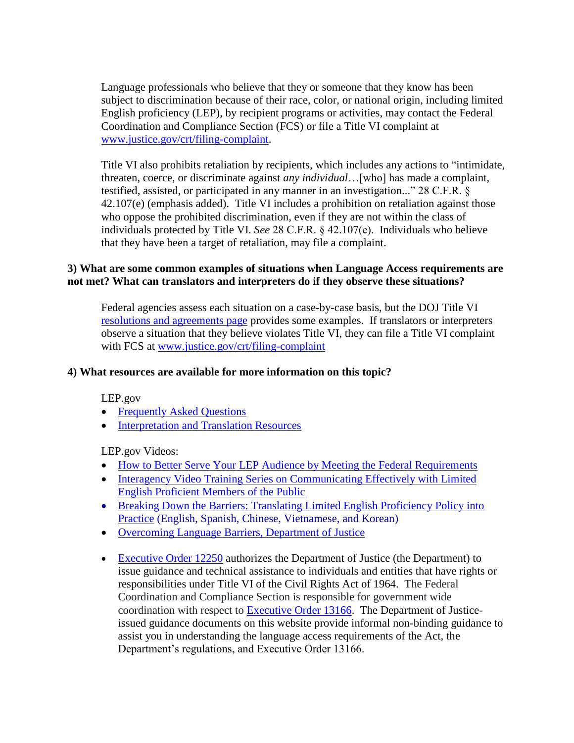Language professionals who believe that they or someone that they know has been subject to discrimination because of their race, color, or national origin, including limited English proficiency (LEP), by recipient programs or activities, may contact the Federal Coordination and Compliance Section (FCS) or file a Title VI complaint at [www.justice.gov/crt/filing-complaint.](http://www.justice.gov/crt/filing-complaint)

Title VI also prohibits retaliation by recipients, which includes any actions to "intimidate, threaten, coerce, or discriminate against *any individual*…[who] has made a complaint, testified, assisted, or participated in any manner in an investigation..." [28 C.F.R. §](https://www.govinfo.gov/content/pkg/CFR-2005-title28-vol1/xml/CFR-2005-title28-vol1-sec42-107.xml)  [42.107\(e\)](https://www.govinfo.gov/content/pkg/CFR-2005-title28-vol1/xml/CFR-2005-title28-vol1-sec42-107.xml) (emphasis added). Title VI includes a prohibition on retaliation against those who oppose the prohibited discrimination, even if they are not within the class of individuals protected by Title VI. *See* [28 C.F.R. § 42.107\(e\).](https://www.govinfo.gov/content/pkg/CFR-2005-title28-vol1/xml/CFR-2005-title28-vol1-sec42-107.xml) Individuals who believe that they have been a target of retaliation, may file a complaint.

## **3) What are some common examples of situations when Language Access requirements are not met? What can translators and interpreters do if they observe these situations?**

Federal agencies assess each situation on a case-by-case basis, but the DOJ Title VI [resolutions and agreements page](https://www.justice.gov/crt/doj-agreements-and-resolutions) provides some examples. If translators or interpreters observe a situation that they believe violates Title VI, they can file a Title VI complaint with FCS at [www.justice.gov/crt/filing-complaint](http://www.justice.gov/crt/filing-complaint)

## **4) What resources are available for more information on this topic?**

LEP.gov

- [Frequently Asked Questions](https://www.lep.gov/faqs/faqs.html)
- [Interpretation and Translation Resources](https://www.lep.gov/interp_translation/trans_interpret.html)

LEP.gov Videos:

- [How to Better Serve Your LEP Audience by Meeting the Federal Requirements](https://www.youtube.com/watch?v=F3LM8LmysgU&t=5s)
- Interagency Video Training Series on Communicating Effectively with Limited [English Proficient Members of the Public](http://youtu.be/vv3IBZkUgwg)
- Breaking Down the Barriers: Translating Limited English Proficiency Policy into [Practice](http://www.justice.gov/crt/videos) (English, Spanish, Chinese, Vietnamese, and Korean)
- Overcoming Language Barriers, Department of Justice
- [Executive Order 12250](https://www.justice.gov/crt/executive-order-12250) authorizes the Department of Justice (the Department) to issue guidance and technical assistance to individuals and entities that have rights or responsibilities under Title VI of the Civil Rights Act of 1964. The Federal Coordination and Compliance Section is responsible for government wide coordination with respect to [Executive Order 13166.](https://www.govinfo.gov/content/pkg/FR-2000-08-16/pdf/00-20938.pdf) The Department of Justiceissued guidance documents on this website provide informal non-binding guidance to assist you in understanding the language access requirements of the Act, the Department's regulations, and Executive Order 13166.